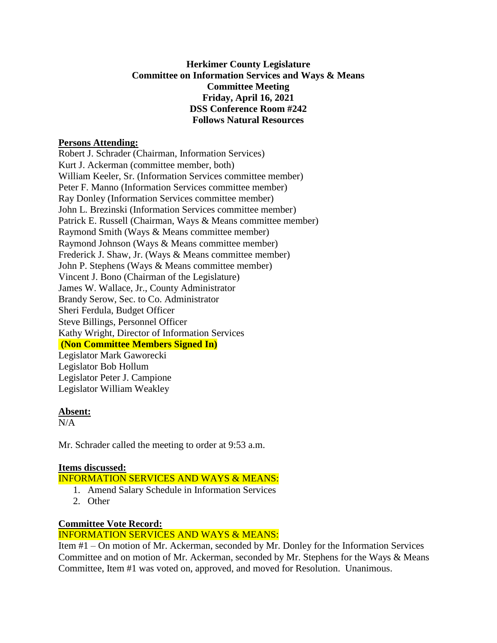## **Herkimer County Legislature Committee on Information Services and Ways & Means Committee Meeting Friday, April 16, 2021 DSS Conference Room #242 Follows Natural Resources**

#### **Persons Attending:**

Robert J. Schrader (Chairman, Information Services) Kurt J. Ackerman (committee member, both) William Keeler, Sr. (Information Services committee member) Peter F. Manno (Information Services committee member) Ray Donley (Information Services committee member) John L. Brezinski (Information Services committee member) Patrick E. Russell (Chairman, Ways & Means committee member) Raymond Smith (Ways & Means committee member) Raymond Johnson (Ways & Means committee member) Frederick J. Shaw, Jr. (Ways & Means committee member) John P. Stephens (Ways & Means committee member) Vincent J. Bono (Chairman of the Legislature) James W. Wallace, Jr., County Administrator Brandy Serow, Sec. to Co. Administrator Sheri Ferdula, Budget Officer Steve Billings, Personnel Officer Kathy Wright, Director of Information Services **(Non Committee Members Signed In)**

Legislator Mark Gaworecki Legislator Bob Hollum Legislator Peter J. Campione Legislator William Weakley

#### **Absent:**

 $N/A$ 

Mr. Schrader called the meeting to order at 9:53 a.m.

## **Items discussed:**

INFORMATION SERVICES AND WAYS & MEANS:

- 1. Amend Salary Schedule in Information Services
- 2. Other

# **Committee Vote Record:**

## INFORMATION SERVICES AND WAYS & MEANS:

Item #1 – On motion of Mr. Ackerman, seconded by Mr. Donley for the Information Services Committee and on motion of Mr. Ackerman, seconded by Mr. Stephens for the Ways & Means Committee, Item #1 was voted on, approved, and moved for Resolution. Unanimous.